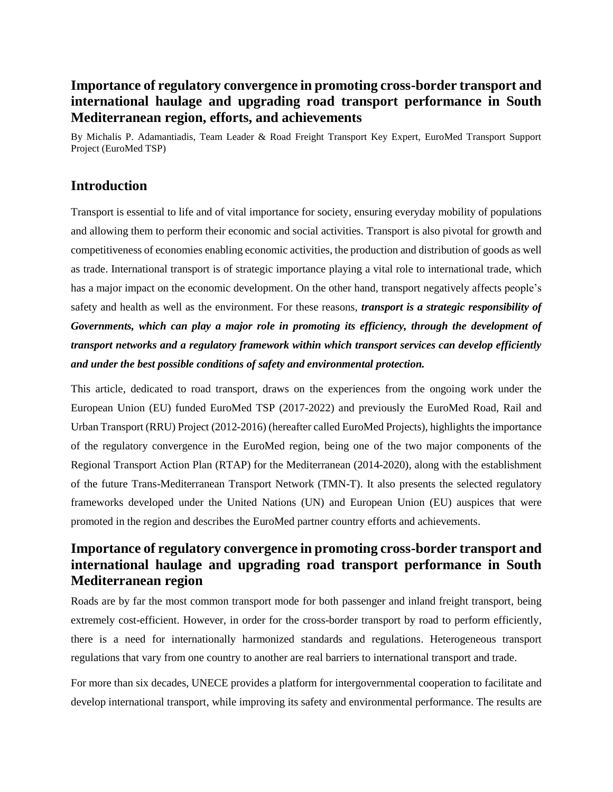# **Importance of regulatory convergence in promoting cross-border transport and international haulage and upgrading road transport performance in South Mediterranean region, efforts, and achievements**

By Michalis P. Adamantiadis, Team Leader & Road Freight Transport Key Expert, EuroMed Transport Support Project (EuroMed TSP)

## **Introduction**

Transport is essential to life and of vital importance for society, ensuring everyday mobility of populations and allowing them to perform their economic and social activities. Transport is also pivotal for growth and competitiveness of economies enabling economic activities, the production and distribution of goods as well as trade. International transport is of strategic importance playing a vital role to international trade, which has a major impact on the economic development. On the other hand, transport negatively affects people's safety and health as well as the environment. For these reasons, *transport is a strategic responsibility of Governments, which can play a major role in promoting its efficiency, through the development of transport networks and a regulatory framework within which transport services can develop efficiently and under the best possible conditions of safety and environmental protection.*

This article, dedicated to road transport, draws on the experiences from the ongoing work under the European Union (EU) funded EuroMed TSP (2017-2022) and previously the EuroMed Road, Rail and Urban Transport (RRU) Project (2012-2016) (hereafter called EuroMed Projects), highlights the importance of the regulatory convergence in the EuroMed region, being one of the two major components of the Regional Transport Action Plan (RTAP) for the Mediterranean (2014-2020), along with the establishment of the future Trans-Mediterranean Transport Network (TMN-T). It also presents the selected regulatory frameworks developed under the United Nations (UN) and European Union (EU) auspices that were promoted in the region and describes the EuroMed partner country efforts and achievements.

# **Importance of regulatory convergence in promoting cross-border transport and international haulage and upgrading road transport performance in South Mediterranean region**

Roads are by far the most common transport mode for both passenger and inland freight transport, being extremely cost-efficient. However, in order for the cross-border transport by road to perform efficiently, there is a need for internationally harmonized standards and regulations. Heterogeneous transport regulations that vary from one country to another are real barriers to international transport and trade.

For more than six decades, UNECE provides a platform for intergovernmental cooperation to facilitate and develop international transport, while improving its safety and environmental performance. The results are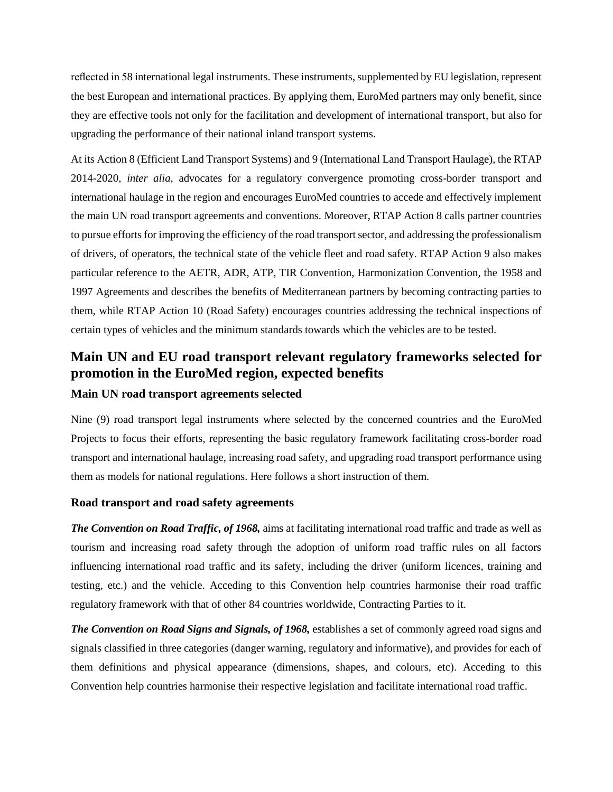reflected in 58 international legal instruments. These instruments, supplemented by EU legislation, represent the best European and international practices. By applying them, EuroMed partners may only benefit, since they are effective tools not only for the facilitation and development of international transport, but also for upgrading the performance of their national inland transport systems.

At its Action 8 (Efficient Land Transport Systems) and 9 (International Land Transport Haulage), the RTAP 2014-2020, *inter alia,* advocates for a regulatory convergence promoting cross-border transport and international haulage in the region and encourages EuroMed countries to accede and effectively implement the main UN road transport agreements and conventions. Moreover, RTAP Action 8 calls partner countries to pursue efforts for improving the efficiency of the road transport sector, and addressing the professionalism of drivers, of operators, the technical state of the vehicle fleet and road safety. RTAP Action 9 also makes particular reference to the AETR, ADR, ATP, TIR Convention, Harmonization Convention, the 1958 and 1997 Agreements and describes the benefits of Mediterranean partners by becoming contracting parties to them, while RTAP Action 10 (Road Safety) encourages countries addressing the technical inspections of certain types of vehicles and the minimum standards towards which the vehicles are to be tested.

# **Main UN and EU road transport relevant regulatory frameworks selected for promotion in the EuroMed region, expected benefits**

## **Main UN road transport agreements selected**

Nine (9) road transport legal instruments where selected by the concerned countries and the EuroMed Projects to focus their efforts, representing the basic regulatory framework facilitating cross-border road transport and international haulage, increasing road safety, and upgrading road transport performance using them as models for national regulations. Here follows a short instruction of them.

### **Road transport and road safety agreements**

*The Convention on Road Traffic, of 1968,* aims at facilitating international road traffic and trade as well as tourism and increasing road safety through the adoption of uniform road traffic rules on all factors influencing international road traffic and its safety, including the driver (uniform licences, training and testing, etc.) and the vehicle. Acceding to this Convention help countries harmonise their road traffic regulatory framework with that of other 84 countries worldwide, Contracting Parties to it.

*The Convention on Road Signs and Signals, of 1968,* establishes a set of commonly agreed road signs and signals classified in three categories (danger warning, regulatory and informative), and provides for each of them definitions and physical appearance (dimensions, shapes, and colours, etc). Acceding to this Convention help countries harmonise their respective legislation and facilitate international road traffic.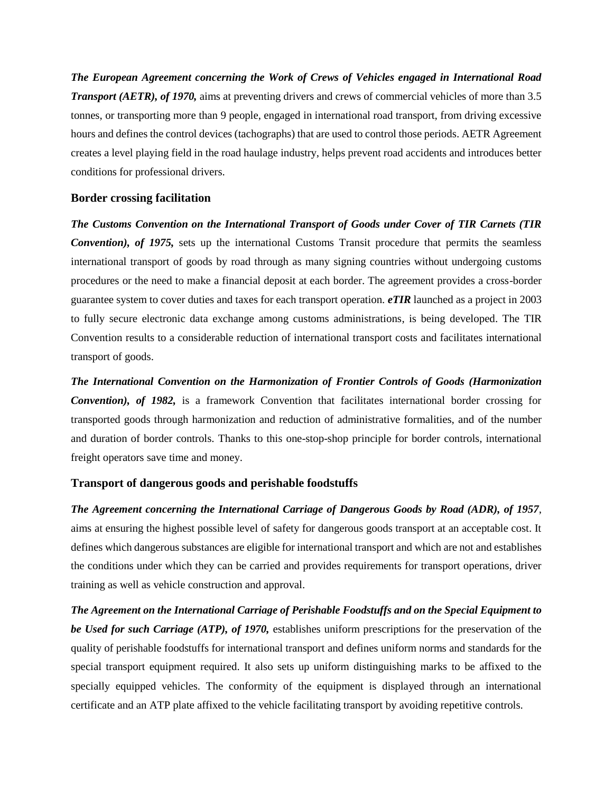*The European Agreement concerning the Work of Crews of Vehicles engaged in International Road Transport (AETR), of 1970,* aims at preventing drivers and crews of commercial vehicles of more than 3.5 tonnes, or transporting more than 9 people, engaged in international road transport, from driving excessive hours and defines the control devices (tachographs) that are used to control those periods. AETR Agreement creates a level playing field in the road haulage industry, helps prevent road accidents and introduces better conditions for professional drivers.

#### **Border crossing facilitation**

*The Customs Convention on the International Transport of Goods under Cover of TIR Carnets (TIR Convention), of 1975,* sets up the international Customs Transit procedure that permits the seamless international transport of goods by road through as many signing countries without undergoing customs procedures or the need to make a financial deposit at each border. The agreement provides a cross-border guarantee system to cover duties and taxes for each transport operation. *eTIR* launched as a project in 2003 to fully secure electronic data exchange among customs administrations, is being developed. The TIR Convention results to a considerable reduction of international transport costs and facilitates international transport of goods.

*The International Convention on the Harmonization of Frontier Controls of Goods (Harmonization Convention), of 1982,* is a framework Convention that facilitates international border crossing for transported goods through harmonization and reduction of administrative formalities, and of the number and duration of border controls. Thanks to this one-stop-shop principle for border controls, international freight operators save time and money.

### **Transport of dangerous goods and perishable foodstuffs**

*The Agreement concerning the International Carriage of Dangerous Goods by Road (ADR), of 1957*, aims at ensuring the highest possible level of safety for dangerous goods transport at an acceptable cost. It defines which dangerous substances are eligible for international transport and which are not and establishes the conditions under which they can be carried and provides requirements for transport operations, driver training as well as vehicle construction and approval.

*The Agreement on the International Carriage of Perishable Foodstuffs and on the Special Equipment to be Used for such Carriage (ATP), of 1970,* establishes uniform prescriptions for the preservation of the quality of perishable foodstuffs for international transport and defines uniform norms and standards for the special transport equipment required. It also sets up uniform distinguishing marks to be affixed to the specially equipped vehicles. The conformity of the equipment is displayed through an international certificate and an ATP plate affixed to the vehicle facilitating transport by avoiding repetitive controls.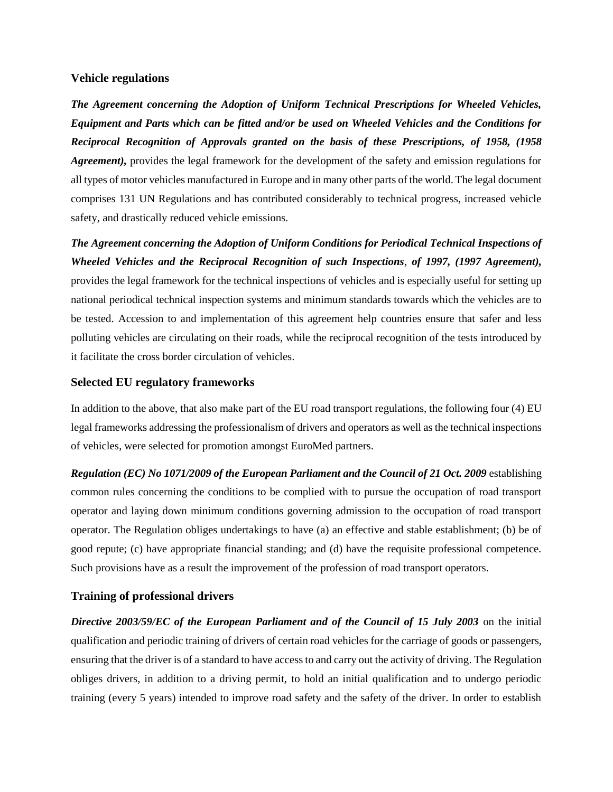#### **Vehicle regulations**

*The Agreement concerning the Adoption of Uniform Technical Prescriptions for Wheeled Vehicles, Equipment and Parts which can be fitted and/or be used on Wheeled Vehicles and the Conditions for Reciprocal Recognition of Approvals granted on the basis of these Prescriptions, of 1958, (1958 Agreement),* provides the legal framework for the development of the safety and emission regulations for all types of motor vehicles manufactured in Europe and in many other parts of the world. The legal document comprises 131 UN Regulations and has contributed considerably to technical progress, increased vehicle safety, and drastically reduced vehicle emissions.

*The Agreement concerning the Adoption of Uniform Conditions for Periodical Technical Inspections of Wheeled Vehicles and the Reciprocal Recognition of such Inspections*, *of 1997, (1997 Agreement),*  provides the legal framework for the technical inspections of vehicles and is especially useful for setting up national periodical technical inspection systems and minimum standards towards which the vehicles are to be tested. Accession to and implementation of this agreement help countries ensure that safer and less polluting vehicles are circulating on their roads, while the reciprocal recognition of the tests introduced by it facilitate the cross border circulation of vehicles.

### **Selected EU regulatory frameworks**

In addition to the above, that also make part of the EU road transport regulations, the following four (4) EU legal frameworks addressing the professionalism of drivers and operators as well as the technical inspections of vehicles, were selected for promotion amongst EuroMed partners.

*Regulation (EC) No 1071/2009 of the European Parliament and the Council of 21 Oct. 2009* establishing common rules concerning the conditions to be complied with to pursue the occupation of road transport operator and laying down minimum conditions governing admission to the occupation of road transport operator. The Regulation obliges undertakings to have (a) an effective and stable establishment; (b) be of good repute; (c) have appropriate financial standing; and (d) have the requisite professional competence. Such provisions have as a result the improvement of the profession of road transport operators.

### **Training of professional drivers**

*Directive 2003/59/EC of the European Parliament and of the Council of 15 July 2003* on the initial qualification and periodic training of drivers of certain road vehicles for the carriage of goods or passengers, ensuring that the driver is of a standard to have access to and carry out the activity of driving. The Regulation obliges drivers, in addition to a driving permit, to hold an initial qualification and to undergo periodic training (every 5 years) intended to improve road safety and the safety of the driver. In order to establish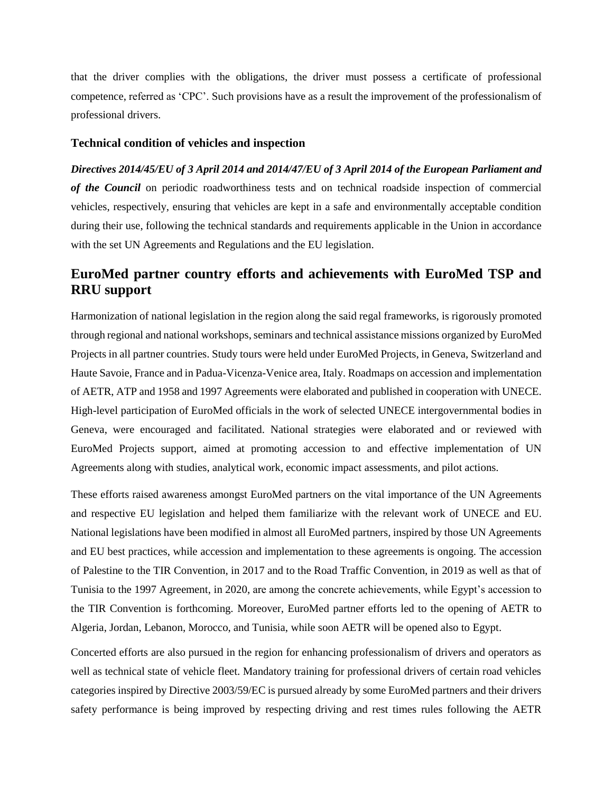that the driver complies with the obligations, the driver must possess a certificate of professional competence, referred as 'CPC'. Such provisions have as a result the improvement of the professionalism of professional drivers.

#### **Technical condition of vehicles and inspection**

*Directives 2014/45/EU of 3 April 2014 and 2014/47/EU of 3 April 2014 of the European Parliament and of the Council* on periodic roadworthiness tests and on technical roadside inspection of commercial vehicles, respectively, ensuring that vehicles are kept in a safe and environmentally acceptable condition during their use, following the technical standards and requirements applicable in the Union in accordance with the set UN Agreements and Regulations and the EU legislation.

# **EuroMed partner country efforts and achievements with EuroMed TSP and RRU support**

Harmonization of national legislation in the region along the said regal frameworks, is rigorously promoted through regional and national workshops, seminars and technical assistance missions organized by EuroMed Projects in all partner countries. Study tours were held under EuroMed Projects, in Geneva, Switzerland and Haute Savoie, France and in Padua-Vicenza-Venice area, Italy. Roadmaps on accession and implementation of AETR, ATP and 1958 and 1997 Agreements were elaborated and published in cooperation with UNECE. High-level participation of EuroMed officials in the work of selected UNECE intergovernmental bodies in Geneva, were encouraged and facilitated. National strategies were elaborated and or reviewed with EuroMed Projects support, aimed at promoting accession to and effective implementation of UN Agreements along with studies, analytical work, economic impact assessments, and pilot actions.

These efforts raised awareness amongst EuroMed partners on the vital importance of the UN Agreements and respective EU legislation and helped them familiarize with the relevant work of UNECE and EU. National legislations have been modified in almost all EuroMed partners, inspired by those UN Agreements and EU best practices, while accession and implementation to these agreements is ongoing. The accession of Palestine to the TIR Convention, in 2017 and to the Road Traffic Convention, in 2019 as well as that of Tunisia to the 1997 Agreement, in 2020, are among the concrete achievements, while Egypt's accession to the TIR Convention is forthcoming. Moreover, EuroMed partner efforts led to the opening of AETR to Algeria, Jordan, Lebanon, Morocco, and Tunisia, while soon AETR will be opened also to Egypt.

Concerted efforts are also pursued in the region for enhancing professionalism of drivers and operators as well as technical state of vehicle fleet. Mandatory training for professional drivers of certain road vehicles categories inspired by Directive 2003/59/EC is pursued already by some EuroMed partners and their drivers safety performance is being improved by respecting driving and rest times rules following the AETR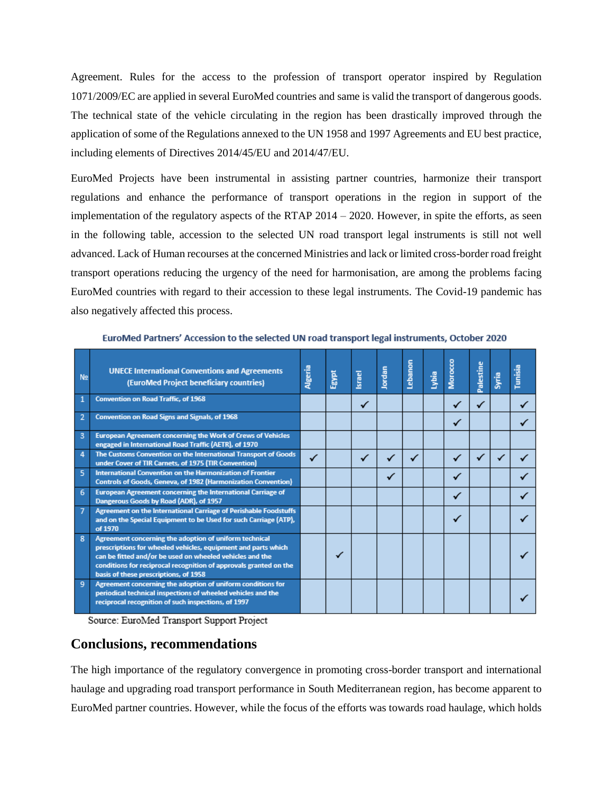Agreement. Rules for the access to the profession of transport operator inspired by Regulation 1071/2009/EC are applied in several EuroMed countries and same is valid the transport of dangerous goods. The technical state of the vehicle circulating in the region has been drastically improved through the application of some of the Regulations annexed to the UN 1958 and 1997 Agreements and EU best practice, including elements of Directives 2014/45/EU and 2014/47/EU.

EuroMed Projects have been instrumental in assisting partner countries, harmonize their transport regulations and enhance the performance of transport operations in the region in support of the implementation of the regulatory aspects of the RTAP  $2014 - 2020$ . However, in spite the efforts, as seen in the following table, accession to the selected UN road transport legal instruments is still not well advanced. Lack of Human recourses at the concerned Ministries and lack or limited cross-border road freight transport operations reducing the urgency of the need for harmonisation, are among the problems facing EuroMed countries with regard to their accession to these legal instruments. The Covid-19 pandemic has also negatively affected this process.

| N <sub>2</sub> | <b>UNECE International Conventions and Agreements</b><br>(EuroMed Project beneficiary countries)                                                                                                                                                                                                  | Algeria | Egypt | Israel | Jordan | Lebanon | Lybia | Morocco | ω<br>Palestin | Syria | Tunisia |
|----------------|---------------------------------------------------------------------------------------------------------------------------------------------------------------------------------------------------------------------------------------------------------------------------------------------------|---------|-------|--------|--------|---------|-------|---------|---------------|-------|---------|
| $\mathbf{1}$   | <b>Convention on Road Traffic, of 1968</b>                                                                                                                                                                                                                                                        |         |       | ✓      |        |         |       | ✓       | ✓             |       |         |
| $\overline{2}$ | Convention on Road Signs and Signals, of 1968                                                                                                                                                                                                                                                     |         |       |        |        |         |       | ✓       |               |       |         |
| 3              | <b>European Agreement concerning the Work of Crews of Vehicles</b><br>engaged in International Road Traffic (AETR), of 1970                                                                                                                                                                       |         |       |        |        |         |       |         |               |       |         |
| 4              | The Customs Convention on the International Transport of Goods<br>under Cover of TIR Carnets, of 1975 (TIR Convention)                                                                                                                                                                            | ✓       |       |        |        |         |       | ✓       |               |       |         |
| 5              | International Convention on the Harmonization of Frontier<br>Controls of Goods, Geneva, of 1982 (Harmonization Convention)                                                                                                                                                                        |         |       |        |        |         |       | ✓       |               |       |         |
| 6              | <b>European Agreement concerning the International Carriage of</b><br>Dangerous Goods by Road (ADR), of 1957                                                                                                                                                                                      |         |       |        |        |         |       | ✓       |               |       |         |
| $\overline{7}$ | Agreement on the International Carriage of Perishable Foodstuffs<br>and on the Special Equipment to be Used for such Carriage (ATP),<br>of 1970                                                                                                                                                   |         |       |        |        |         |       |         |               |       |         |
| R              | Agreement concerning the adoption of uniform technical<br>prescriptions for wheeled vehicles, equipment and parts which<br>can be fitted and/or be used on wheeled vehicles and the<br>conditions for reciprocal recognition of approvals granted on the<br>basis of these prescriptions, of 1958 |         |       |        |        |         |       |         |               |       |         |
| 9              | Agreement concerning the adoption of uniform conditions for<br>periodical technical inspections of wheeled vehicles and the<br>reciprocal recognition of such inspections, of 1997                                                                                                                |         |       |        |        |         |       |         |               |       |         |

EuroMed Partners' Accession to the selected UN road transport legal instruments, October 2020

Source: EuroMed Transport Support Project

## **Conclusions, recommendations**

The high importance of the regulatory convergence in promoting cross-border transport and international haulage and upgrading road transport performance in South Mediterranean region, has become apparent to EuroMed partner countries. However, while the focus of the efforts was towards road haulage, which holds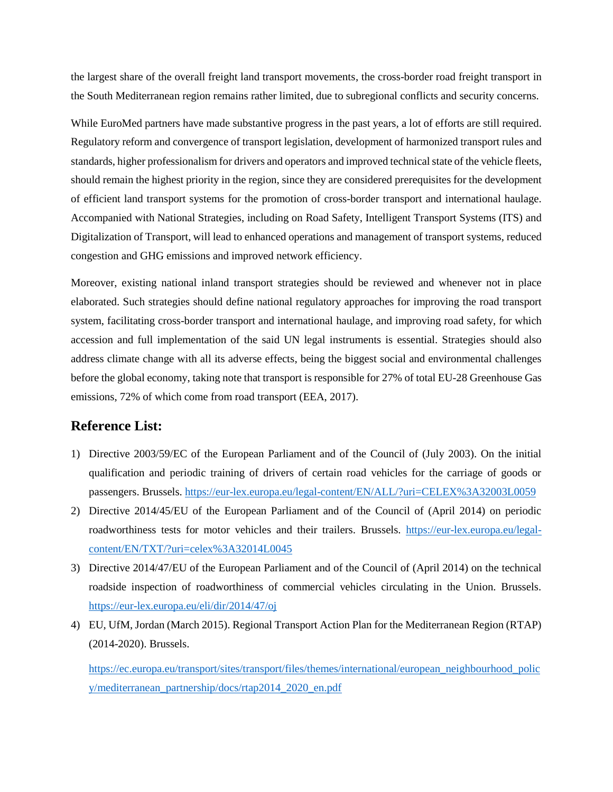the largest share of the overall freight land transport movements, the cross-border road freight transport in the South Mediterranean region remains rather limited, due to subregional conflicts and security concerns.

While EuroMed partners have made substantive progress in the past years, a lot of efforts are still required. Regulatory reform and convergence of transport legislation, development of harmonized transport rules and standards, higher professionalism for drivers and operators and improved technical state of the vehicle fleets, should remain the highest priority in the region, since they are considered prerequisites for the development of efficient land transport systems for the promotion of cross-border transport and international haulage. Accompanied with National Strategies, including on Road Safety, Intelligent Transport Systems (ITS) and Digitalization of Transport, will lead to enhanced operations and management of transport systems, reduced congestion and GHG emissions and improved network efficiency.

Moreover, existing national inland transport strategies should be reviewed and whenever not in place elaborated. Such strategies should define national regulatory approaches for improving the road transport system, facilitating cross-border transport and international haulage, and improving road safety, for which accession and full implementation of the said UN legal instruments is essential. Strategies should also address climate change with all its adverse effects, being the biggest social and environmental challenges before the global economy, taking note that transport is responsible for 27% of total EU-28 Greenhouse Gas emissions, 72% of which come from road transport (EEA, 2017).

## **Reference List:**

- 1) Directive 2003/59/EC of the European Parliament and of the Council of (July 2003). On the initial qualification and periodic training of drivers of certain road vehicles for the carriage of goods or passengers. Brussels. <https://eur-lex.europa.eu/legal-content/EN/ALL/?uri=CELEX%3A32003L0059>
- 2) Directive 2014/45/EU of the European Parliament and of the Council of (April 2014) on periodic roadworthiness tests for motor vehicles and their trailers. Brussels. [https://eur-lex.europa.eu/legal](https://eur-lex.europa.eu/legal-content/EN/TXT/?uri=celex%3A32014L0045)[content/EN/TXT/?uri=celex%3A32014L0045](https://eur-lex.europa.eu/legal-content/EN/TXT/?uri=celex%3A32014L0045)
- 3) Directive 2014/47/EU of the European Parliament and of the Council of (April 2014) on the technical roadside inspection of roadworthiness of commercial vehicles circulating in the Union. Brussels. <https://eur-lex.europa.eu/eli/dir/2014/47/oj>
- 4) EU, UfM, Jordan (March 2015). Regional Transport Action Plan for the Mediterranean Region (RTAP) (2014-2020). Brussels.

[https://ec.europa.eu/transport/sites/transport/files/themes/international/european\\_neighbourhood\\_polic](https://ec.europa.eu/transport/sites/transport/files/themes/international/european_neighbourhood_policy/mediterranean_partnership/docs/rtap2014_2020_en.pdf) [y/mediterranean\\_partnership/docs/rtap2014\\_2020\\_en.pdf](https://ec.europa.eu/transport/sites/transport/files/themes/international/european_neighbourhood_policy/mediterranean_partnership/docs/rtap2014_2020_en.pdf)